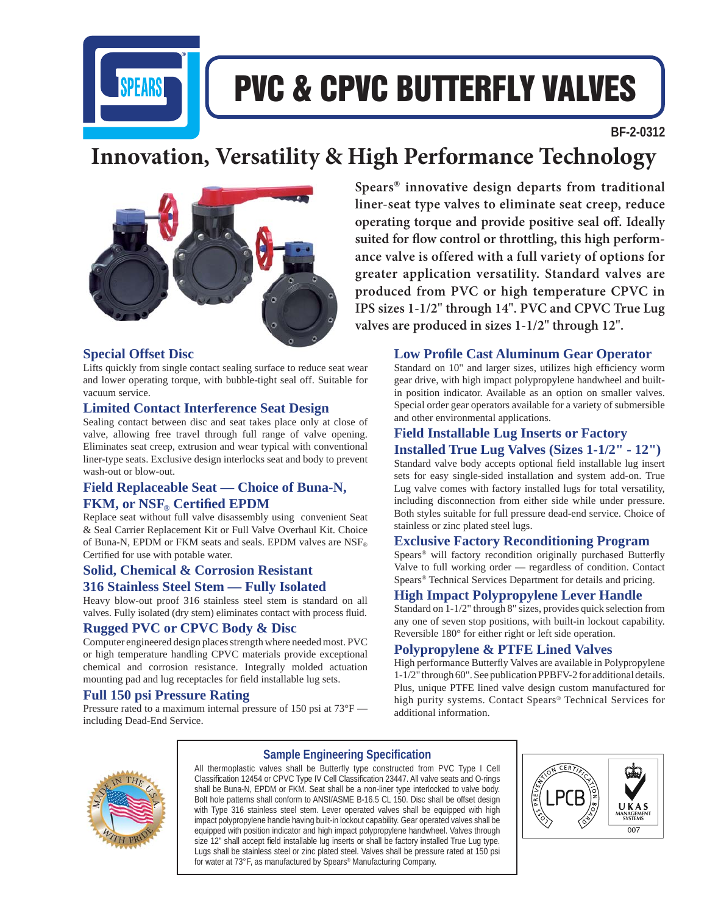

# PVC & CPVC BUTTERFLY VALVES

 **BF-2-0312**

## **Innovation, Versatility & High Performance Technology**



#### **Special Offset Disc**

Lifts quickly from single contact sealing surface to reduce seat wear and lower operating torque, with bubble-tight seal off. Suitable for vacuum service.

#### **Limited Contact Interference Seat Design**

Sealing contact between disc and seat takes place only at close of valve, allowing free travel through full range of valve opening. Eliminates seat creep, extrusion and wear typical with conventional liner-type seats. Exclusive design interlocks seat and body to prevent wash-out or blow-out.

#### **Field Replaceable Seat — Choice of Buna-N,**   $FKM,$  or  $NSF_{\text{@}}$  Certified EPDM

Replace seat without full valve disassembly using convenient Seat & Seal Carrier Replacement Kit or Full Valve Overhaul Kit. Choice of Buna-N, EPDM or FKM seats and seals. EPDM valves are  $\text{NSF}_{\odot}$ Certified for use with potable water.

#### **Solid, Chemical & Corrosion Resistant 316 Stainless Steel Stem — Fully Isolated**

Heavy blow-out proof 316 stainless steel stem is standard on all valves. Fully isolated (dry stem) eliminates contact with process fluid.

#### **Rugged PVC or CPVC Body & Disc**

Computer engineered design places strength where needed most. PVC or high temperature handling CPVC materials provide exceptional chemical and corrosion resistance. Integrally molded actuation mounting pad and lug receptacles for field installable lug sets.

#### **Full 150 psi Pressure Rating**

Pressure rated to a maximum internal pressure of 150 psi at 73°F including Dead-End Service.

**Spears® innovative design departs from traditional liner-seat type valves to eliminate seat creep, reduce**  operating torque and provide positive seal off. Ideally suited for flow control or throttling, this high perform**ance valve is offered with a full variety of options for greater application versatility. Standard valves are produced from PVC or high temperature CPVC in IPS sizes 1-1/2" through 14". PVC and CPVC True Lug valves are produced in sizes 1-1/2" through 12".**

#### **Low Profile Cast Aluminum Gear Operator**

Standard on 10" and larger sizes, utilizes high efficiency worm gear drive, with high impact polypropylene handwheel and builtin position indicator. Available as an option on smaller valves. Special order gear operators available for a variety of submersible and other environmental applications.

### **Field Installable Lug Inserts or Factory**

**Installed True Lug Valves (Sizes 1-1/2" - 12")** Standard valve body accepts optional field installable lug insert sets for easy single-sided installation and system add-on. True Lug valve comes with factory installed lugs for total versatility, including disconnection from either side while under pressure. Both styles suitable for full pressure dead-end service. Choice of stainless or zinc plated steel lugs.

#### **Exclusive Factory Reconditioning Program**

Spears® will factory recondition originally purchased Butterfly Valve to full working order — regardless of condition. Contact Spears® Technical Services Department for details and pricing.

#### **High Impact Polypropylene Lever Handle**

Standard on 1-1/2" through 8" sizes, provides quick selection from any one of seven stop positions, with built-in lockout capability. Reversible 180° for either right or left side operation.

#### **Polypropylene & PTFE Lined Valves**

High performance Butterfly Valves are available in Polypropylene 1-1/2" through 60". See publication PPBFV-2 for additional details. Plus, unique PTFE lined valve design custom manufactured for high purity systems. Contact Spears® Technical Services for additional information.



#### **Sample Engineering Specifi cation**

All thermoplastic valves shall be Butterfly type constructed from PVC Type I Cell Classification 12454 or CPVC Type IV Cell Classification 23447. All valve seats and O-rings shall be Buna-N, EPDM or FKM. Seat shall be a non-liner type interlocked to valve body. Bolt hole patterns shall conform to ANSI/ASME B-16.5 CL 150. Disc shall be offset design with Type 316 stainless steel stem. Lever operated valves shall be equipped with high impact polypropylene handle having built-in lockout capability. Gear operated valves shall be equipped with position indicator and high impact polypropylene handwheel. Valves through size 12" shall accept field installable lug inserts or shall be factory installed True Lug type. Lugs shall be stainless steel or zinc plated steel. Valves shall be pressure rated at 150 psi for water at 73°F, as manufactured by Spears® Manufacturing Company.